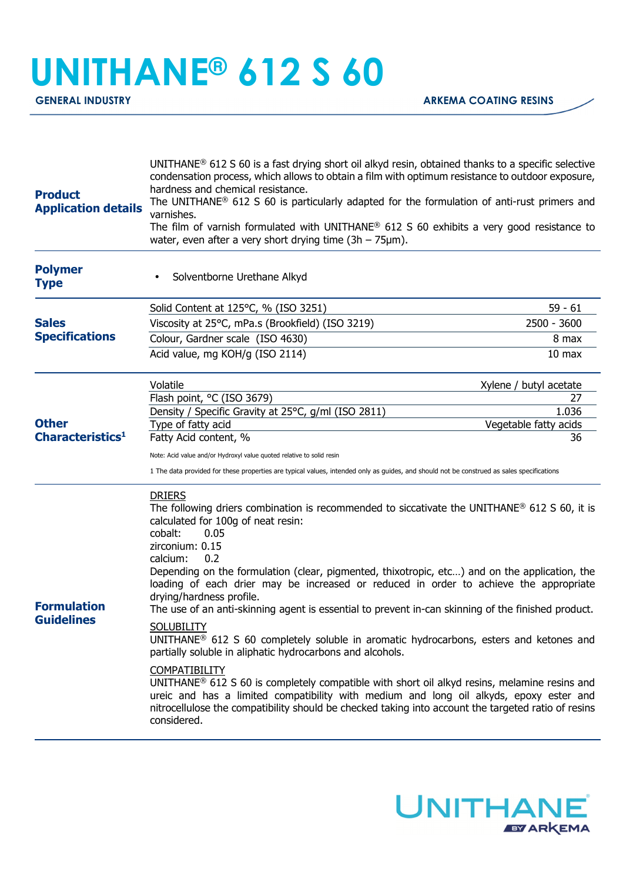## **UNITHANE® 612 S 60**